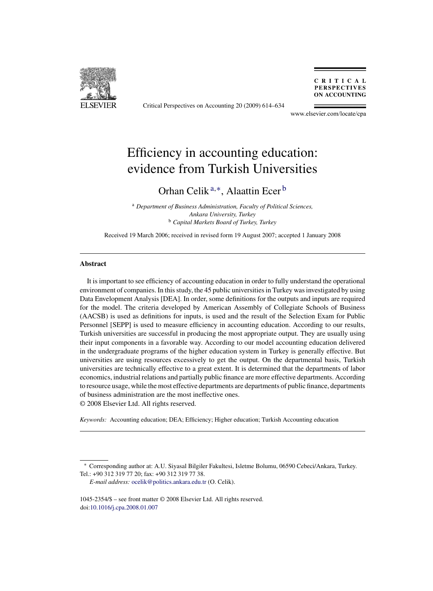

Critical Perspectives on Accounting 20 (2009) 614–634

CRITICAL **PERSPECTIVES ON ACCOUNTING** 

www.elsevier.com/locate/cpa

## Efficiency in accounting education: evidence from Turkish Universities

### Orhan Celik <sup>a</sup>,∗, Alaattin Ecer <sup>b</sup>

<sup>a</sup> *Department of Business Administration, Faculty of Political Sciences, Ankara University, Turkey* <sup>b</sup> *Capital Markets Board of Turkey, Turkey*

Received 19 March 2006; received in revised form 19 August 2007; accepted 1 January 2008

#### **Abstract**

It is important to see efficiency of accounting education in order to fully understand the operational environment of companies. In this study, the 45 public universities in Turkey was investigated by using Data Envelopment Analysis [DEA]. In order, some definitions for the outputs and inputs are required for the model. The criteria developed by American Assembly of Collegiate Schools of Business (AACSB) is used as definitions for inputs, is used and the result of the Selection Exam for Public Personnel [SEPP] is used to measure efficiency in accounting education. According to our results, Turkish universities are successful in producing the most appropriate output. They are usually using their input components in a favorable way. According to our model accounting education delivered in the undergraduate programs of the higher education system in Turkey is generally effective. But universities are using resources excessively to get the output. On the departmental basis, Turkish universities are technically effective to a great extent. It is determined that the departments of labor economics, industrial relations and partially public finance are more effective departments. According to resource usage, while the most effective departments are departments of public finance, departments of business administration are the most ineffective ones. © 2008 Elsevier Ltd. All rights reserved.

*Keywords:* Accounting education; DEA; Efficiency; Higher education; Turkish Accounting education

<sup>∗</sup> Corresponding author at: A.U. Siyasal Bilgiler Fakultesi, Isletme Bolumu, 06590 Cebeci/Ankara, Turkey. Tel.: +90 312 319 77 20; fax: +90 312 319 77 38.

*E-mail address:* [ocelik@politics.ankara.edu.tr](mailto:ocelik@politics.ankara.edu.tr) (O. Celik).

<sup>1045-2354/\$ –</sup> see front matter © 2008 Elsevier Ltd. All rights reserved. doi[:10.1016/j.cpa.2008.01.007](dx.doi.org/10.1016/j.cpa.2008.01.007)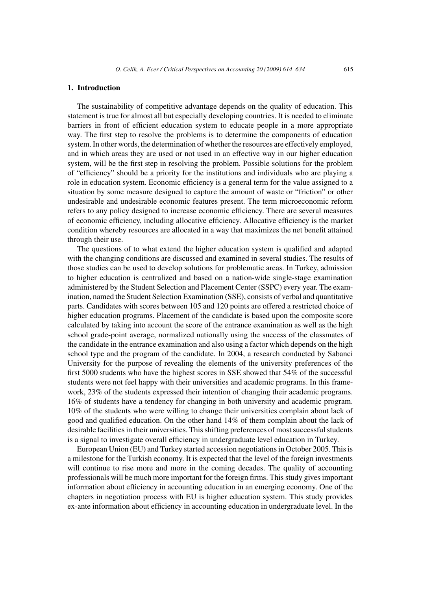#### **1. Introduction**

The sustainability of competitive advantage depends on the quality of education. This statement is true for almost all but especially developing countries. It is needed to eliminate barriers in front of efficient education system to educate people in a more appropriate way. The first step to resolve the problems is to determine the components of education system. In other words, the determination of whether the resources are effectively employed, and in which areas they are used or not used in an effective way in our higher education system, will be the first step in resolving the problem. Possible solutions for the problem of "efficiency" should be a priority for the institutions and individuals who are playing a role in education system. Economic efficiency is a general term for the value assigned to a situation by some measure designed to capture the amount of waste or "friction" or other undesirable and undesirable economic features present. The term microeconomic reform refers to any policy designed to increase economic efficiency. There are several measures of economic efficiency, including allocative efficiency. Allocative efficiency is the market condition whereby resources are allocated in a way that maximizes the net benefit attained through their use.

The questions of to what extend the higher education system is qualified and adapted with the changing conditions are discussed and examined in several studies. The results of those studies can be used to develop solutions for problematic areas. In Turkey, admission to higher education is centralized and based on a nation-wide single-stage examination administered by the Student Selection and Placement Center (SSPC) every year. The examination, named the Student Selection Examination (SSE), consists of verbal and quantitative parts. Candidates with scores between 105 and 120 points are offered a restricted choice of higher education programs. Placement of the candidate is based upon the composite score calculated by taking into account the score of the entrance examination as well as the high school grade-point average, normalized nationally using the success of the classmates of the candidate in the entrance examination and also using a factor which depends on the high school type and the program of the candidate. In 2004, a research conducted by Sabanci University for the purpose of revealing the elements of the university preferences of the first 5000 students who have the highest scores in SSE showed that 54% of the successful students were not feel happy with their universities and academic programs. In this framework, 23% of the students expressed their intention of changing their academic programs. 16% of students have a tendency for changing in both university and academic program. 10% of the students who were willing to change their universities complain about lack of good and qualified education. On the other hand 14% of them complain about the lack of desirable facilities in their universities. This shifting preferences of most successful students is a signal to investigate overall efficiency in undergraduate level education in Turkey.

European Union (EU) and Turkey started accession negotiations in October 2005. This is a milestone for the Turkish economy. It is expected that the level of the foreign investments will continue to rise more and more in the coming decades. The quality of accounting professionals will be much more important for the foreign firms. This study gives important information about efficiency in accounting education in an emerging economy. One of the chapters in negotiation process with EU is higher education system. This study provides ex-ante information about efficiency in accounting education in undergraduate level. In the